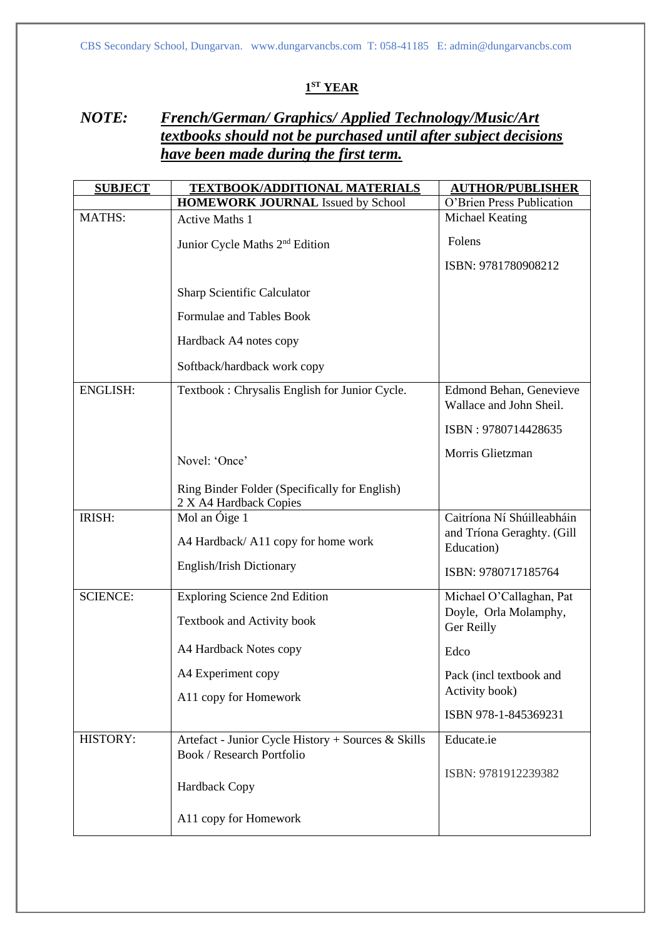## **1 ST YEAR**

## *NOTE: French/German/ Graphics/ Applied Technology/Music/Art textbooks should not be purchased until after subject decisions have been made during the first term.*

| <b>SUBJECT</b>  | <b>TEXTBOOK/ADDITIONAL MATERIALS</b>                                                   | <b>AUTHOR/PUBLISHER</b>                            |
|-----------------|----------------------------------------------------------------------------------------|----------------------------------------------------|
|                 | <b>HOMEWORK JOURNAL Issued by School</b>                                               | O'Brien Press Publication                          |
| <b>MATHS:</b>   | <b>Active Maths 1</b>                                                                  | Michael Keating                                    |
|                 | Junior Cycle Maths 2 <sup>nd</sup> Edition                                             | Folens                                             |
|                 |                                                                                        | ISBN: 9781780908212                                |
|                 | Sharp Scientific Calculator                                                            |                                                    |
|                 | Formulae and Tables Book                                                               |                                                    |
|                 | Hardback A4 notes copy                                                                 |                                                    |
|                 | Softback/hardback work copy                                                            |                                                    |
| <b>ENGLISH:</b> | Textbook: Chrysalis English for Junior Cycle.                                          | Edmond Behan, Genevieve<br>Wallace and John Sheil. |
|                 |                                                                                        | ISBN: 9780714428635                                |
|                 |                                                                                        | Morris Glietzman                                   |
|                 | Novel: 'Once'                                                                          |                                                    |
|                 | Ring Binder Folder (Specifically for English)<br>2 X A4 Hardback Copies                |                                                    |
| IRISH:          | Mol an Óige 1                                                                          | Caitríona Ní Shúilleabháin                         |
|                 | A4 Hardback/A11 copy for home work                                                     | and Tríona Geraghty. (Gill<br>Education)           |
|                 | English/Irish Dictionary                                                               | ISBN: 9780717185764                                |
| <b>SCIENCE:</b> | <b>Exploring Science 2nd Edition</b>                                                   | Michael O'Callaghan, Pat                           |
|                 | Textbook and Activity book                                                             | Doyle, Orla Molamphy,<br>Ger Reilly                |
|                 | A4 Hardback Notes copy                                                                 | Edco                                               |
|                 | A4 Experiment copy                                                                     | Pack (incl textbook and                            |
|                 | A11 copy for Homework                                                                  | Activity book)                                     |
|                 |                                                                                        | ISBN 978-1-845369231                               |
| HISTORY:        | Artefact - Junior Cycle History + Sources & Skills<br><b>Book / Research Portfolio</b> | Educate.ie                                         |
|                 | Hardback Copy                                                                          | ISBN: 9781912239382                                |
|                 | A11 copy for Homework                                                                  |                                                    |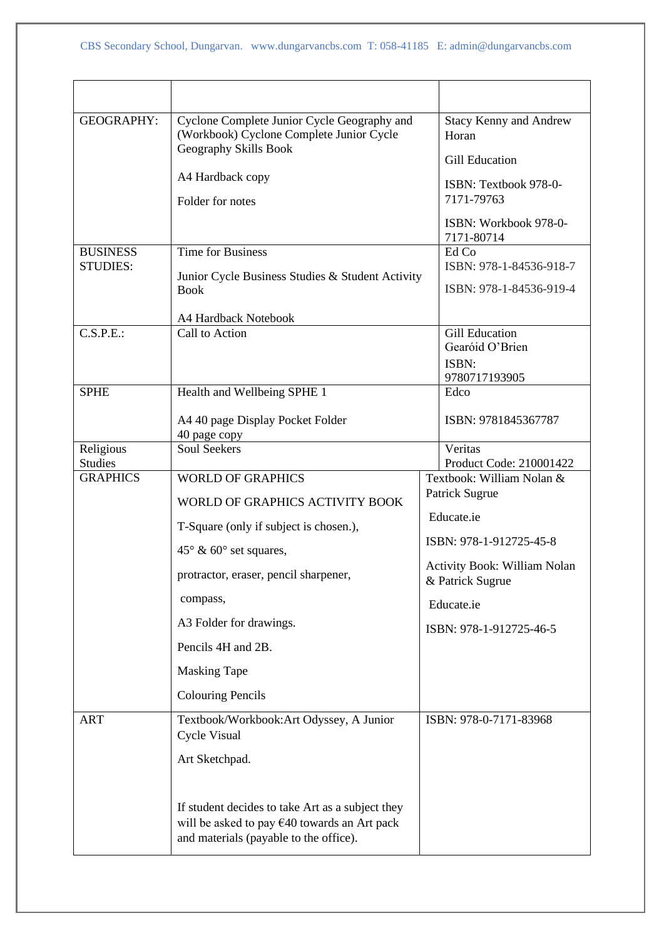| <b>GEOGRAPHY:</b>                              | Cyclone Complete Junior Cycle Geography and<br>(Workbook) Cyclone Complete Junior Cycle<br>Geography Skills Book<br>A4 Hardback copy<br>Folder for notes                                                                                                                                                                 | <b>Stacy Kenny and Andrew</b><br>Horan<br><b>Gill Education</b><br>ISBN: Textbook 978-0-<br>7171-79763<br>ISBN: Workbook 978-0-<br>7171-80714                                                                                  |
|------------------------------------------------|--------------------------------------------------------------------------------------------------------------------------------------------------------------------------------------------------------------------------------------------------------------------------------------------------------------------------|--------------------------------------------------------------------------------------------------------------------------------------------------------------------------------------------------------------------------------|
| <b>BUSINESS</b><br><b>STUDIES:</b>             | <b>Time for Business</b><br>Junior Cycle Business Studies & Student Activity<br><b>Book</b><br>A4 Hardback Notebook                                                                                                                                                                                                      | Ed Co<br>ISBN: 978-1-84536-918-7<br>ISBN: 978-1-84536-919-4                                                                                                                                                                    |
| C.S.P.E.:                                      | Call to Action                                                                                                                                                                                                                                                                                                           | <b>Gill Education</b><br>Gearóid O'Brien<br>ISBN:<br>9780717193905                                                                                                                                                             |
| <b>SPHE</b>                                    | Health and Wellbeing SPHE 1<br>A4 40 page Display Pocket Folder<br>40 page copy                                                                                                                                                                                                                                          | Edco<br>ISBN: 9781845367787                                                                                                                                                                                                    |
| Religious<br><b>Studies</b><br><b>GRAPHICS</b> | <b>Soul Seekers</b><br><b>WORLD OF GRAPHICS</b><br>WORLD OF GRAPHICS ACTIVITY BOOK<br>T-Square (only if subject is chosen.),<br>$45^{\circ}$ & 60° set squares,<br>protractor, eraser, pencil sharpener,<br>compass,<br>A3 Folder for drawings.<br>Pencils 4H and 2B.<br><b>Masking Tape</b><br><b>Colouring Pencils</b> | Veritas<br>Product Code: 210001422<br>Textbook: William Nolan &<br>Patrick Sugrue<br>Educate.ie<br>ISBN: 978-1-912725-45-8<br><b>Activity Book: William Nolan</b><br>& Patrick Sugrue<br>Educate.ie<br>ISBN: 978-1-912725-46-5 |
| <b>ART</b>                                     | Textbook/Workbook:Art Odyssey, A Junior<br>Cycle Visual<br>Art Sketchpad.<br>If student decides to take Art as a subject they<br>will be asked to pay $\epsilon$ 40 towards an Art pack<br>and materials (payable to the office).                                                                                        | ISBN: 978-0-7171-83968                                                                                                                                                                                                         |